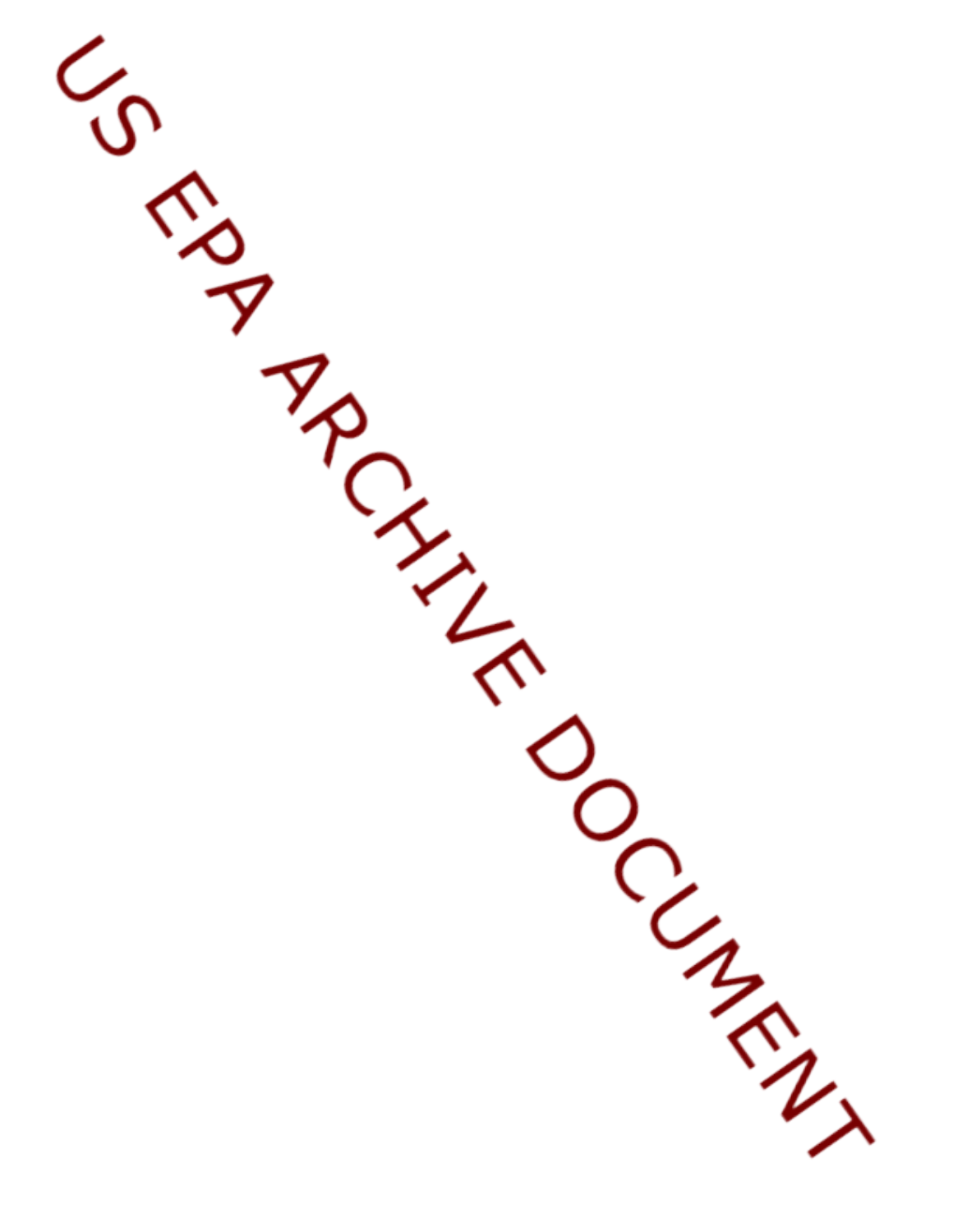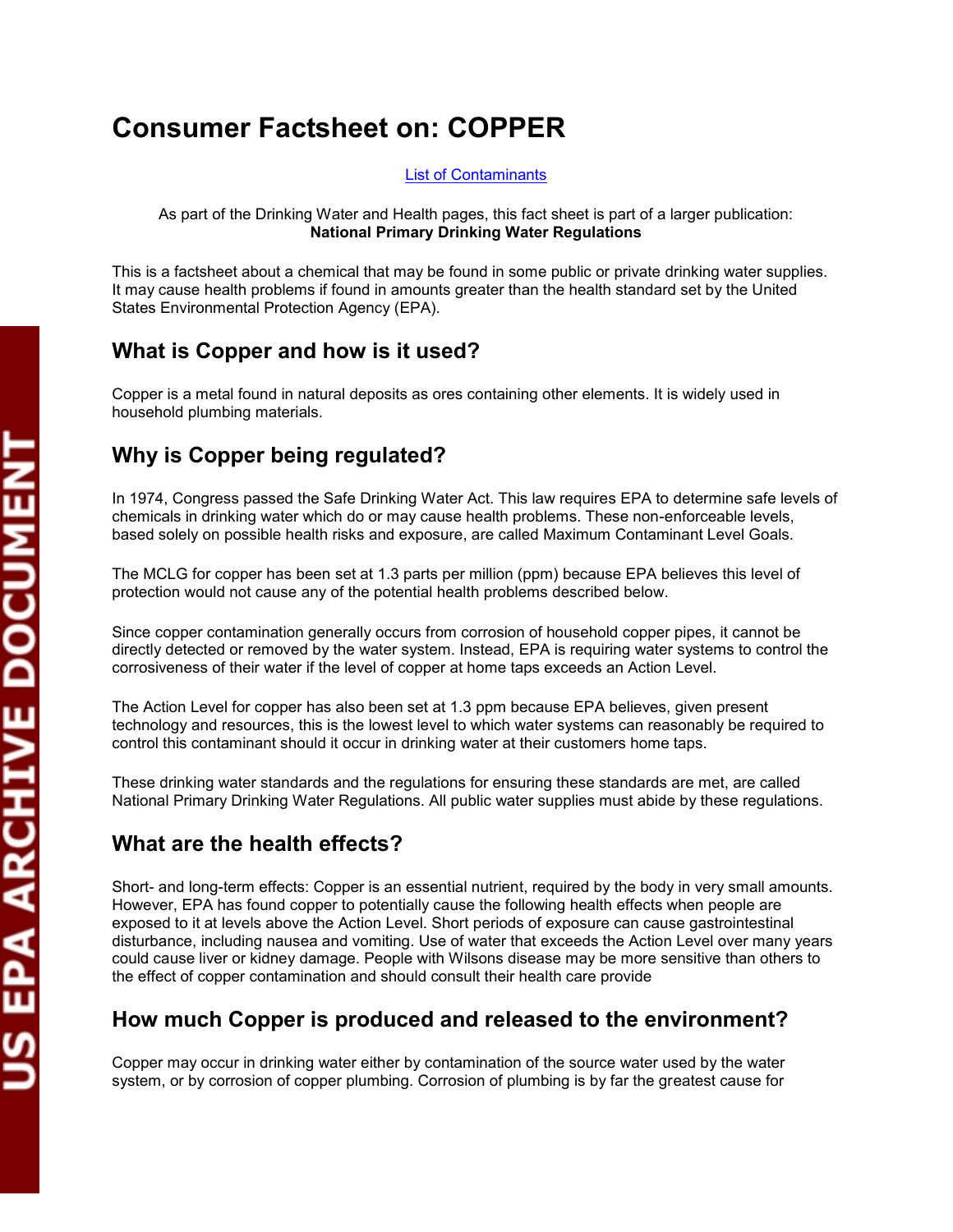# **Consumer Factsheet on: COPPER**

#### [List of Contaminants](http://www.epa.gov/safewater/hfacts.html)

 As part of the Drinking Water and Health pages, this fact sheet is part of a larger publication: **National Primary Drinking Water Regulations** 

 States Environmental Protection Agency (EPA). This is a factsheet about a chemical that may be found in some public or private drinking water supplies. It may cause health problems if found in amounts greater than the health standard set by the United

#### **What is Copper and how is it used?**

 Copper is a metal found in natural deposits as ores containing other elements. It is widely used in household plumbing materials.

## **Why is Copper being regulated?**

 based solely on possible health risks and exposure, are called Maximum Contaminant Level Goals. In 1974, Congress passed the Safe Drinking Water Act. This law requires EPA to determine safe levels of chemicals in drinking water which do or may cause health problems. These non-enforceable levels,

 The MCLG for copper has been set at 1.3 parts per million (ppm) because EPA believes this level of protection would not cause any of the potential health problems described below.

 directly detected or removed by the water system. Instead, EPA is requiring water systems to control the Since copper contamination generally occurs from corrosion of household copper pipes, it cannot be corrosiveness of their water if the level of copper at home taps exceeds an Action Level.

 The Action Level for copper has also been set at 1.3 ppm because EPA believes, given present technology and resources, this is the lowest level to which water systems can reasonably be required to control this contaminant should it occur in drinking water at their customers home taps.

These drinking water standards and the regulations for ensuring these standards are met, are called National Primary Drinking Water Regulations. All public water supplies must abide by these regulations.

#### **What are the health effects?**

 Short- and long-term effects: Copper is an essential nutrient, required by the body in very small amounts. However, EPA has found copper to potentially cause the following health effects when people are disturbance, including nausea and vomiting. Use of water that exceeds the Action Level over many years exposed to it at levels above the Action Level. Short periods of exposure can cause gastrointestinal could cause liver or kidney damage. People with Wilsons disease may be more sensitive than others to the effect of copper contamination and should consult their health care provide

#### **How much Copper is produced and released to the environment?**

 Copper may occur in drinking water either by contamination of the source water used by the water system, or by corrosion of copper plumbing. Corrosion of plumbing is by far the greatest cause for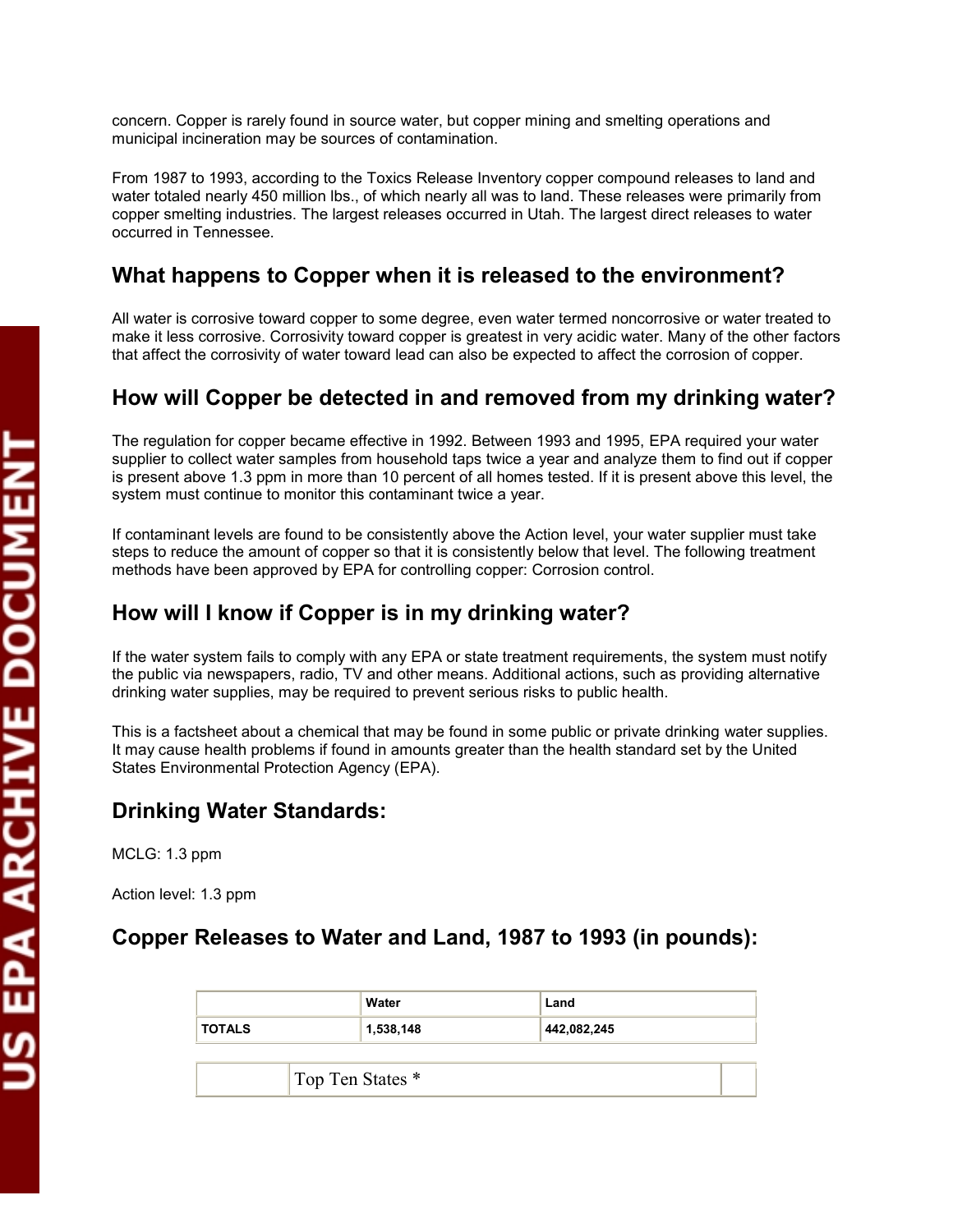concern. Copper is rarely found in source water, but copper mining and smelting operations and municipal incineration may be sources of contamination.

 water totaled nearly 450 million lbs., of which nearly all was to land. These releases were primarily from From 1987 to 1993, according to the Toxics Release Inventory copper compound releases to land and copper smelting industries. The largest releases occurred in Utah. The largest direct releases to water occurred in Tennessee.

## **What happens to Copper when it is released to the environment?**

 make it less corrosive. Corrosivity toward copper is greatest in very acidic water. Many of the other factors that affect the corrosivity of water toward lead can also be expected to affect the corrosion of copper. All water is corrosive toward copper to some degree, even water termed noncorrosive or water treated to

#### **How will Copper be detected in and removed from my drinking water?**

 system must continue to monitor this contaminant twice a year. The regulation for copper became effective in 1992. Between 1993 and 1995, EPA required your water supplier to collect water samples from household taps twice a year and analyze them to find out if copper is present above 1.3 ppm in more than 10 percent of all homes tested. If it is present above this level, the

 If contaminant levels are found to be consistently above the Action level, your water supplier must take steps to reduce the amount of copper so that it is consistently below that level. The following treatment methods have been approved by EPA for controlling copper: Corrosion control.

### **How will I know if Copper is in my drinking water?**

 If the water system fails to comply with any EPA or state treatment requirements, the system must notify the public via newspapers, radio, TV and other means. Additional actions, such as providing alternative drinking water supplies, may be required to prevent serious risks to public health.

 States Environmental Protection Agency (EPA). This is a factsheet about a chemical that may be found in some public or private drinking water supplies. It may cause health problems if found in amounts greater than the health standard set by the United

#### **Drinking Water Standards:**

MCLG: 1.3 ppm

Action level: 1.3 ppm

#### **Copper Releases to Water and Land, 1987 to 1993 (in pounds):**

|               | Water     | Land        |
|---------------|-----------|-------------|
| <b>TOTALS</b> | 1,538,148 | 442,082,245 |

Top Ten States \*